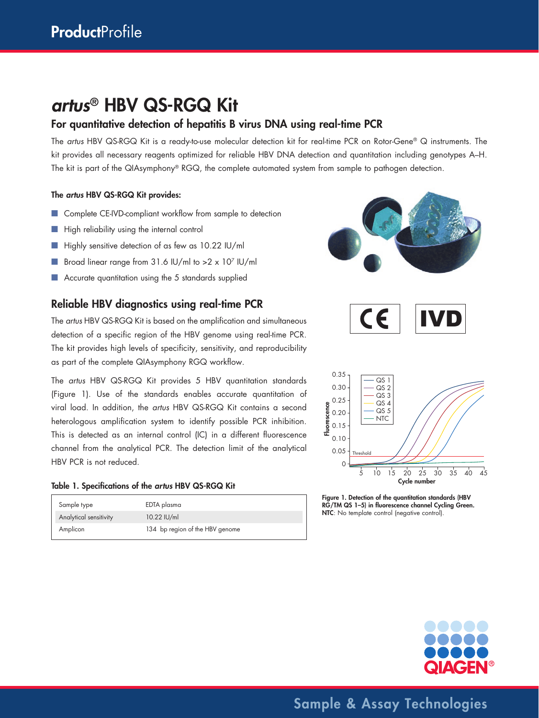# *artus*® HBV QS-RGQ Kit

### For quantitative detection of hepatitis B virus DNA using real-time PCR

The *artus* HBV QS-RGQ Kit is a ready-to-use molecular detection kit for real-time PCR on Rotor-Gene® Q instruments. The kit provides all necessary reagents optimized for reliable HBV DNA detection and quantitation including genotypes A–H. The kit is part of the QIAsymphony® RGQ, the complete automated system from sample to pathogen detection.

#### The *artus* HBV QS-RGQ Kit provides:

- Complete CE-IVD-compliant workflow from sample to detection
- High reliability using the internal control
- Highly sensitive detection of as few as 10.22 IU/ml
- Broad linear range from 31.6 IU/ml to >2 x 107 IU/ml
- Accurate quantitation using the 5 standards supplied

### Reliable HBV diagnostics using real-time PCR

The *artus* HBV QS-RGQ Kit is based on the amplification and simultaneous detection of a specific region of the HBV genome using real-time PCR. The kit provides high levels of specificity, sensitivity, and reproducibility as part of the complete QIAsymphony RGQ workflow.

The *artus* HBV QS-RGQ Kit provides 5 HBV quantitation standards (Figure 1). Use of the standards enables accurate quantitation of viral load. In addition, the *artus* HBV QS-RGQ Kit contains a second heterologous amplification system to identify possible PCR inhibition. This is detected as an internal control (IC) in a different fluorescence channel from the analytical PCR. The detection limit of the analytical HBV PCR is not reduced.

#### Table 1. Specifications of the *artus* HBV QS-RGQ Kit

| Sample type            | EDTA plasma                     |
|------------------------|---------------------------------|
| Analytical sensitivity | 10.22 IU/ml                     |
| Amplicon               | 134 bp region of the HBV genome |







Figure 1. Detection of the quantitation standards (HBV RG/TM QS 1–5) in fluorescence channel Cycling Green. NTC: No template control (negative control).



Sample & Assay Technologies